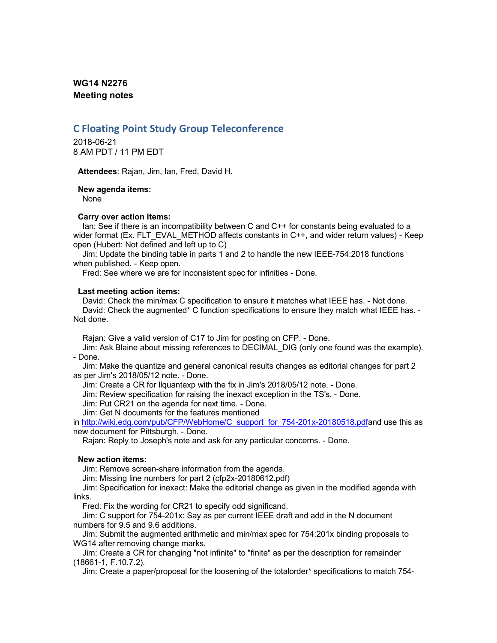# **WG14 N2276 Meeting notes**

# **C Floating Point Study Group Teleconference**

2018-06-21 8 AM PDT / 11 PM EDT

**Attendees**: Rajan, Jim, Ian, Fred, David H.

**New agenda items:**

None

# **Carry over action items:**

Ian: See if there is an incompatibility between C and C++ for constants being evaluated to a wider format (Ex. FLT EVAL METHOD affects constants in C++, and wider return values) - Keep open (Hubert: Not defined and left up to C)

Jim: Update the binding table in parts 1 and 2 to handle the new IEEE-754:2018 functions when published. - Keep open.

Fred: See where we are for inconsistent spec for infinities - Done.

### **Last meeting action items:**

David: Check the min/max C specification to ensure it matches what IEEE has. - Not done. David: Check the augmented\* C function specifications to ensure they match what IEEE has. - Not done.

Rajan: Give a valid version of C17 to Jim for posting on CFP. - Done.

Jim: Ask Blaine about missing references to DECIMAL\_DIG (only one found was the example). - Done.

Jim: Make the quantize and general canonical results changes as editorial changes for part 2 as per Jim's 2018/05/12 note. - Done.

Jim: Create a CR for llquantexp with the fix in Jim's 2018/05/12 note. - Done.

Jim: Review specification for raising the inexact exception in the TS's. - Done.

Jim: Put CR21 on the agenda for next time. - Done.

Jim: Get N documents for the features mentioned

in http://wiki.edg.com/pub/CFP/WebHome/C\_support\_for\_754-201x-20180518.pdfand use this as new document for Pittsburgh. - Done.

Rajan: Reply to Joseph's note and ask for any particular concerns. - Done.

# **New action items:**

Jim: Remove screen-share information from the agenda.

Jim: Missing line numbers for part 2 (cfp2x-20180612.pdf)

Jim: Specification for inexact: Make the editorial change as given in the modified agenda with links.

Fred: Fix the wording for CR21 to specify odd significand.

Jim: C support for 754-201x: Say as per current IEEE draft and add in the N document numbers for 9.5 and 9.6 additions.

Jim: Submit the augmented arithmetic and min/max spec for 754:201x binding proposals to WG14 after removing change marks.

Jim: Create a CR for changing "not infinite" to "finite" as per the description for remainder (18661-1, F.10.7.2).

Jim: Create a paper/proposal for the loosening of the totalorder\* specifications to match 754-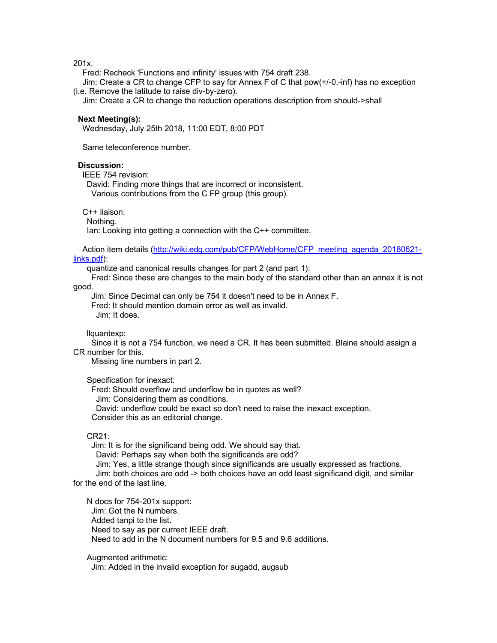201x.

Fred: Recheck 'Functions and infinity' issues with 754 draft 238.

Jim: Create a CR to change CFP to say for Annex F of C that pow(+/-0,-inf) has no exception (i.e. Remove the latitude to raise div-by-zero).

Jim: Create a CR to change the reduction operations description from should->shall

#### **Next Meeting(s):**

Wednesday, July 25th 2018, 11:00 EDT, 8:00 PDT

Same teleconference number.

#### **Discussion:**

IEEE 754 revision:

David: Finding more things that are incorrect or inconsistent.

Various contributions from the C FP group (this group).

C++ liaison:

Nothing.

Ian: Looking into getting a connection with the C++ committee.

Action item details (http://wiki.edg.com/pub/CFP/WebHome/CFP\_meeting\_agenda\_20180621links.pdf):

quantize and canonical results changes for part 2 (and part 1):

Fred: Since these are changes to the main body of the standard other than an annex it is not good.

Jim: Since Decimal can only be 754 it doesn't need to be in Annex F. Fred: It should mention domain error as well as invalid.

Jim: It does.

llquantexp:

Since it is not a 754 function, we need a CR. It has been submitted. Blaine should assign a CR number for this.

Missing line numbers in part 2.

Specification for inexact:

Fred: Should overflow and underflow be in quotes as well? Jim: Considering them as conditions. David: underflow could be exact so don't need to raise the inexact exception. Consider this as an editorial change.

### $CR21$

Jim: It is for the significand being odd. We should say that. David: Perhaps say when both the significands are odd?

Jim: Yes, a little strange though since significands are usually expressed as fractions.

Jim: both choices are odd -> both choices have an odd least significand digit, and similar for the end of the last line.

N docs for 754-201x support: Jim: Got the N numbers. Added tanpi to the list. Need to say as per current IEEE draft. Need to add in the N document numbers for 9.5 and 9.6 additions.

Augmented arithmetic:

Jim: Added in the invalid exception for augadd, augsub